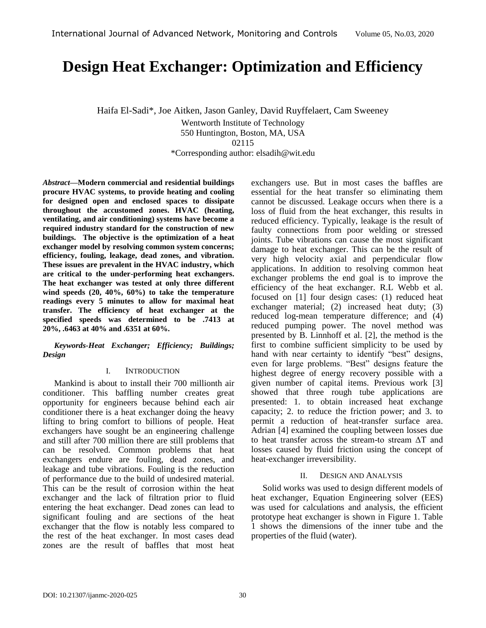# **Design Heat Exchanger: Optimization and Efficiency**

Haifa El-Sadi\*, Joe Aitken, Jason Ganley, David Ruyffelaert, Cam Sweeney

Wentworth Institute of Technology 550 Huntington, Boston, MA, USA 02115

\*Corresponding author: elsadih@wit.edu

*Abstract—***Modern commercial and residential buildings procure HVAC systems, to provide heating and cooling for designed open and enclosed spaces to dissipate throughout the accustomed zones. HVAC (heating, ventilating, and air conditioning) systems have become a required industry standard for the construction of new buildings. The objective is the optimization of a heat exchanger model by resolving common system concerns; efficiency, fouling, leakage, dead zones, and vibration. These issues are prevalent in the HVAC industry, which are critical to the under-performing heat exchangers. The heat exchanger was tested at only three different wind speeds (20, 40%, 60%) to take the temperature readings every 5 minutes to allow for maximal heat transfer. The efficiency of heat exchanger at the specified speeds was determined to be .7413 at 20%, .6463 at 40% and .6351 at 60%.**

*Keywords-Heat Exchanger; Efficiency; Buildings; Design* 

#### I. INTRODUCTION

Mankind is about to install their 700 millionth air conditioner. This baffling number creates great opportunity for engineers because behind each air conditioner there is a heat exchanger doing the heavy lifting to bring comfort to billions of people. Heat exchangers have sought be an engineering challenge and still after 700 million there are still problems that can be resolved. Common problems that heat exchangers endure are fouling, dead zones, and leakage and tube vibrations. Fouling is the reduction of performance due to the build of undesired material. This can be the result of corrosion within the heat exchanger and the lack of filtration prior to fluid entering the heat exchanger. Dead zones can lead to significant fouling and are sections of the heat exchanger that the flow is notably less compared to the rest of the heat exchanger. In most cases dead zones are the result of baffles that most heat exchangers use. But in most cases the baffles are essential for the heat transfer so eliminating them cannot be discussed. Leakage occurs when there is a loss of fluid from the heat exchanger, this results in reduced efficiency. Typically, leakage is the result of faulty connections from poor welding or stressed joints. Tube vibrations can cause the most significant damage to heat exchanger. This can be the result of very high velocity axial and perpendicular flow applications. In addition to resolving common heat exchanger problems the end goal is to improve the efficiency of the heat exchanger. R.L Webb et al. focused on [1] four design cases: (1) reduced heat exchanger material; (2) increased heat duty; (3) reduced log-mean temperature difference; and (4) reduced pumping power. The novel method was presented by B. Linnhoff et al. [2], the method is the first to combine sufficient simplicity to be used by hand with near certainty to identify "best" designs, even for large problems. "Best" designs feature the highest degree of energy recovery possible with a given number of capital items. Previous work [3] showed that three rough tube applications are presented: 1. to obtain increased heat exchange capacity; 2. to reduce the friction power; and 3. to permit a reduction of heat-transfer surface area. Adrian [4] examined the coupling between losses due to heat transfer across the stream-to stream ΔT and losses caused by fluid friction using the concept of heat-exchanger irreversibility.

# II. DESIGN AND ANALYSIS

Solid works was used to design different models of heat exchanger, Equation Engineering solver (EES) was used for calculations and analysis, the efficient prototype heat exchanger is shown in Figure 1. Table 1 shows the dimensions of the inner tube and the properties of the fluid (water).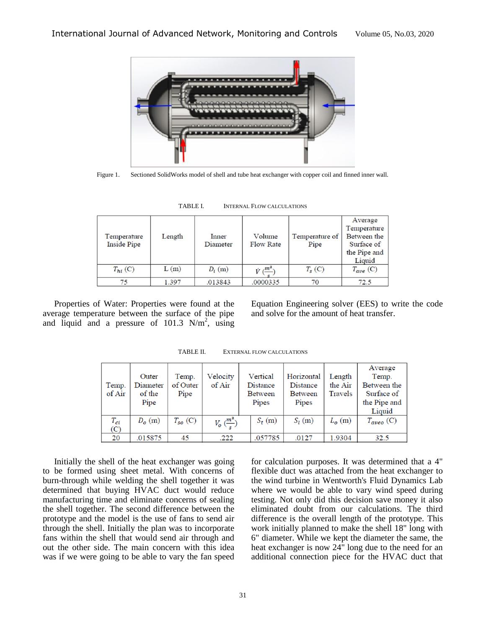

Figure 1. Sectioned SolidWorks model of shell and tube heat exchanger with copper coil and finned inner wall.

| Temperature<br><b>Inside Pipe</b> | Length | Inner<br><b>Diameter</b> | Volume<br><b>Flow Rate</b>     | Temperature of<br>Pipe | Average<br>Temperature<br>Between the<br>Surface of<br>the Pipe and<br>Liquid |
|-----------------------------------|--------|--------------------------|--------------------------------|------------------------|-------------------------------------------------------------------------------|
| $T_{hi}$ (C)                      | L(m)   | $D_i$ (m)                | $V \left(\frac{m^2}{2}\right)$ | $T_s(C)$               | $T_{ave}$ (C)                                                                 |
| 75                                | 1.397  | .013843                  | .0000335                       | 70                     | 72.5                                                                          |

TABLE I. INTERNAL FLOW CALCULATIONS

Properties of Water: Properties were found at the average temperature between the surface of the pipe and liquid and a pressure of  $101.3$  N/m<sup>2</sup>, using Equation Engineering solver (EES) to write the code and solve for the amount of heat transfer.

|             |          |              |                                 |                |             | Average                     |
|-------------|----------|--------------|---------------------------------|----------------|-------------|-----------------------------|
| Outer       | Temp.    | Velocity     | Vertical                        | Horizontal     | Length      | Temp.                       |
| Diameter    | of Outer | of Air       | Distance                        | Distance       | the Air     | Between the                 |
| of the      | Pipe     |              | Between                         | <b>Between</b> | Travels     | Surface of                  |
| Pipe        |          |              | Pipes                           | Pipes          |             | the Pipe and                |
|             |          |              |                                 |                |             | Liquid                      |
| $D_{o}$ (m) |          |              | $S_t(m)$                        | $S_l(m)$       | $L_{o}$ (m) | $T_{\alpha\nu e\sigma}$ (C) |
|             |          |              |                                 |                |             |                             |
| .015875     | 45       | .222         | .057785                         | .0127          | 1.9304      | 32.5                        |
|             |          | $T_{so}$ (C) | $V_o\left(\frac{m^2}{s}\right)$ |                |             |                             |

TABLE II. EXTERNAL FLOW CALCULATIONS

Initially the shell of the heat exchanger was going to be formed using sheet metal. With concerns of burn-through while welding the shell together it was determined that buying HVAC duct would reduce manufacturing time and eliminate concerns of sealing the shell together. The second difference between the prototype and the model is the use of fans to send air through the shell. Initially the plan was to incorporate fans within the shell that would send air through and out the other side. The main concern with this idea was if we were going to be able to vary the fan speed for calculation purposes. It was determined that a 4" flexible duct was attached from the heat exchanger to the wind turbine in Wentworth's Fluid Dynamics Lab where we would be able to vary wind speed during testing. Not only did this decision save money it also eliminated doubt from our calculations. The third difference is the overall length of the prototype. This work initially planned to make the shell 18" long with 6" diameter. While we kept the diameter the same, the heat exchanger is now 24" long due to the need for an additional connection piece for the HVAC duct that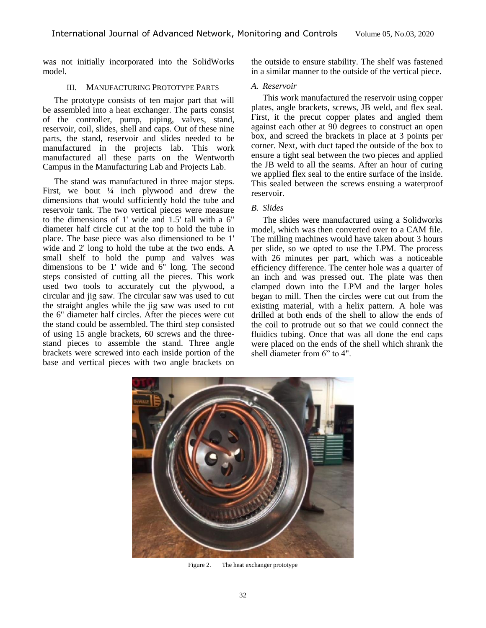was not initially incorporated into the SolidWorks model.

# III. MANUFACTURING PROTOTYPE PARTS

The prototype consists of ten major part that will be assembled into a heat exchanger. The parts consist of the controller, pump, piping, valves, stand, reservoir, coil, slides, shell and caps. Out of these nine parts, the stand, reservoir and slides needed to be manufactured in the projects lab. This work manufactured all these parts on the Wentworth Campus in the Manufacturing Lab and Projects Lab.

The stand was manufactured in three major steps. First, we bout  $\frac{1}{4}$  inch plywood and drew the dimensions that would sufficiently hold the tube and reservoir tank. The two vertical pieces were measure to the dimensions of 1' wide and 1.5' tall with a 6" diameter half circle cut at the top to hold the tube in place. The base piece was also dimensioned to be 1' wide and 2' long to hold the tube at the two ends. A small shelf to hold the pump and valves was dimensions to be 1' wide and  $6$ " long. The second steps consisted of cutting all the pieces. This work used two tools to accurately cut the plywood, a circular and jig saw. The circular saw was used to cut the straight angles while the jig saw was used to cut the 6" diameter half circles. After the pieces were cut the stand could be assembled. The third step consisted of using 15 angle brackets, 60 screws and the threestand pieces to assemble the stand. Three angle brackets were screwed into each inside portion of the base and vertical pieces with two angle brackets on

the outside to ensure stability. The shelf was fastened in a similar manner to the outside of the vertical piece.

#### *A. Reservoir*

This work manufactured the reservoir using copper plates, angle brackets, screws, JB weld, and flex seal. First, it the precut copper plates and angled them against each other at 90 degrees to construct an open box, and screed the brackets in place at 3 points per corner. Next, with duct taped the outside of the box to ensure a tight seal between the two pieces and applied the JB weld to all the seams. After an hour of curing we applied flex seal to the entire surface of the inside. This sealed between the screws ensuing a waterproof reservoir.

### *B. Slides*

The slides were manufactured using a Solidworks model, which was then converted over to a CAM file. The milling machines would have taken about 3 hours per slide, so we opted to use the LPM. The process with 26 minutes per part, which was a noticeable efficiency difference. The center hole was a quarter of an inch and was pressed out. The plate was then clamped down into the LPM and the larger holes began to mill. Then the circles were cut out from the existing material, with a helix pattern. A hole was drilled at both ends of the shell to allow the ends of the coil to protrude out so that we could connect the fluidics tubing. Once that was all done the end caps were placed on the ends of the shell which shrank the shell diameter from 6" to 4".



Figure 2. The heat exchanger prototype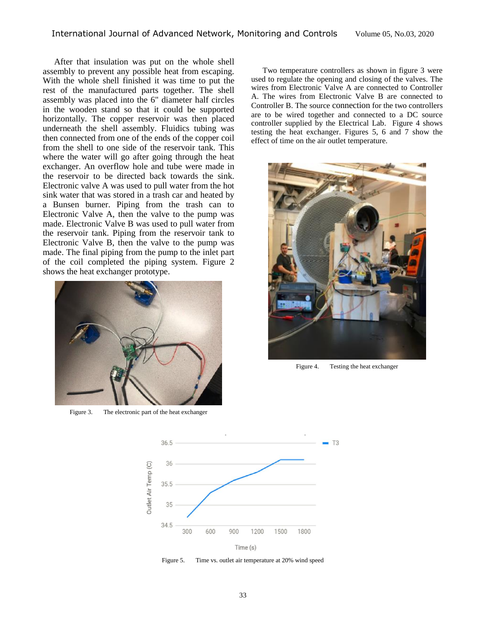After that insulation was put on the whole shell assembly to prevent any possible heat from escaping. With the whole shell finished it was time to put the rest of the manufactured parts together. The shell assembly was placed into the 6" diameter half circles in the wooden stand so that it could be supported horizontally. The copper reservoir was then placed underneath the shell assembly. Fluidics tubing was then connected from one of the ends of the copper coil from the shell to one side of the reservoir tank. This where the water will go after going through the heat exchanger. An overflow hole and tube were made in the reservoir to be directed back towards the sink. Electronic valve A was used to pull water from the hot sink water that was stored in a trash car and heated by a Bunsen burner. Piping from the trash can to Electronic Valve A, then the valve to the pump was made. Electronic Valve B was used to pull water from the reservoir tank. Piping from the reservoir tank to Electronic Valve B, then the valve to the pump was made. The final piping from the pump to the inlet part of the coil completed the piping system. Figure 2 shows the heat exchanger prototype.



Figure 3. The electronic part of the heat exchanger

Two temperature controllers as shown in figure 3 were used to regulate the opening and closing of the valves. The wires from Electronic Valve A are connected to Controller A. The wires from Electronic Valve B are connected to Controller B. The source connection for the two controllers are to be wired together and connected to a DC source controller supplied by the Electrical Lab. Figure 4 shows testing the heat exchanger. Figures 5, 6 and 7 show the effect of time on the air outlet temperature.



Figure 4. Testing the heat exchanger



Figure 5. Time vs. outlet air temperature at 20% wind speed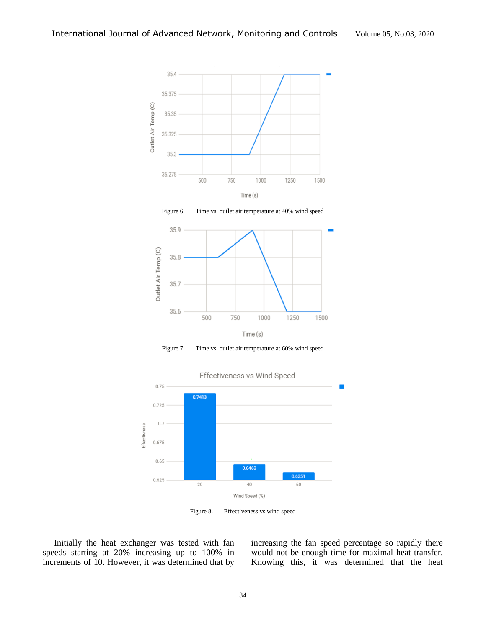





Figure 7. Time vs. outlet air temperature at 60% wind speed



Figure 8. Effectiveness vs wind speed

Initially the heat exchanger was tested with fan speeds starting at 20% increasing up to 100% in increments of 10. However, it was determined that by

increasing the fan speed percentage so rapidly there would not be enough time for maximal heat transfer. Knowing this, it was determined that the heat